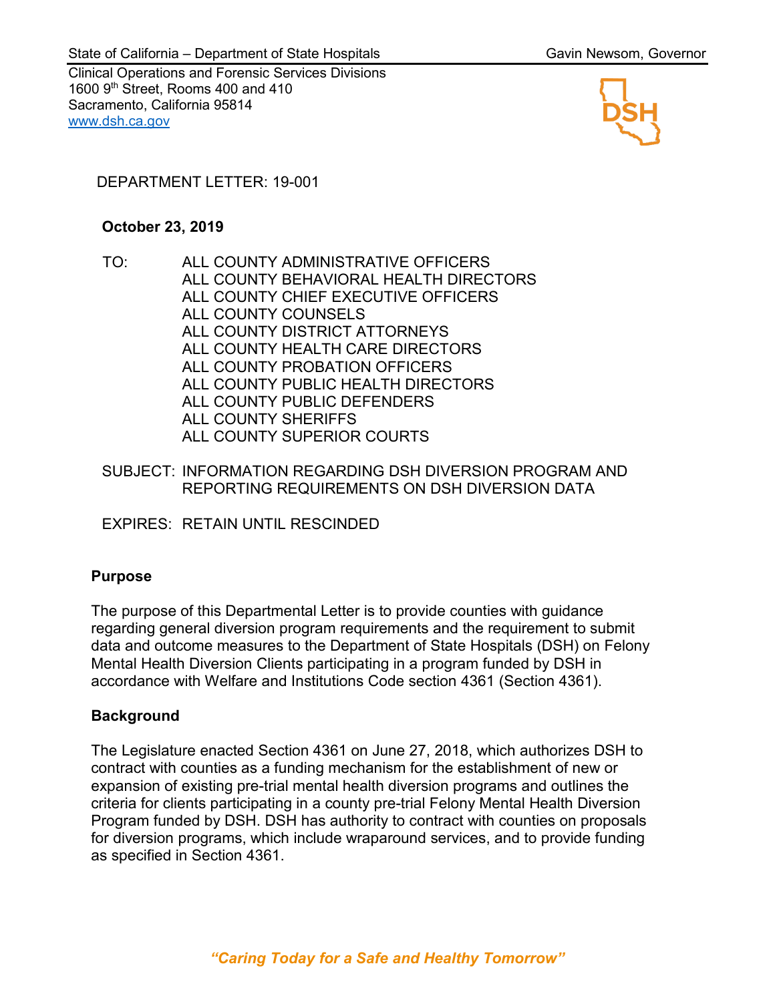Clinical Operations and Forensic Services Divisions 1600 9<sup>th</sup> Street, Rooms 400 and 410 Sacramento, California 95814 [www.dsh.ca.gov](http://www.dsh.ca.gov/)



# DEPARTMENT LETTER: 19-001

#### **October 23, 2019**

TO: ALL COUNTY ADMINISTRATIVE OFFICERS ALL COUNTY BEHAVIORAL HEALTH DIRECTORS ALL COUNTY CHIEF EXECUTIVE OFFICERS ALL COUNTY COUNSELS ALL COUNTY DISTRICT ATTORNEYS ALL COUNTY HEALTH CARE DIRECTORS ALL COUNTY PROBATION OFFICERS ALL COUNTY PUBLIC HEALTH DIRECTORS ALL COUNTY PUBLIC DEFENDERS ALL COUNTY SHERIFFS ALL COUNTY SUPERIOR COURTS

## SUBJECT: INFORMATION REGARDING DSH DIVERSION PROGRAM AND REPORTING REQUIREMENTS ON DSH DIVERSION DATA

EXPIRES: RETAIN UNTIL RESCINDED

# **Purpose**

The purpose of this Departmental Letter is to provide counties with guidance regarding general diversion program requirements and the requirement to submit data and outcome measures to the Department of State Hospitals (DSH) on Felony Mental Health Diversion Clients participating in a program funded by DSH in accordance with Welfare and Institutions Code section 4361 (Section 4361).

## **Background**

The Legislature enacted Section 4361 on June 27, 2018, which authorizes DSH to contract with counties as a funding mechanism for the establishment of new or expansion of existing pre-trial mental health diversion programs and outlines the criteria for clients participating in a county pre-trial Felony Mental Health Diversion Program funded by DSH. DSH has authority to contract with counties on proposals for diversion programs, which include wraparound services, and to provide funding as specified in Section 4361.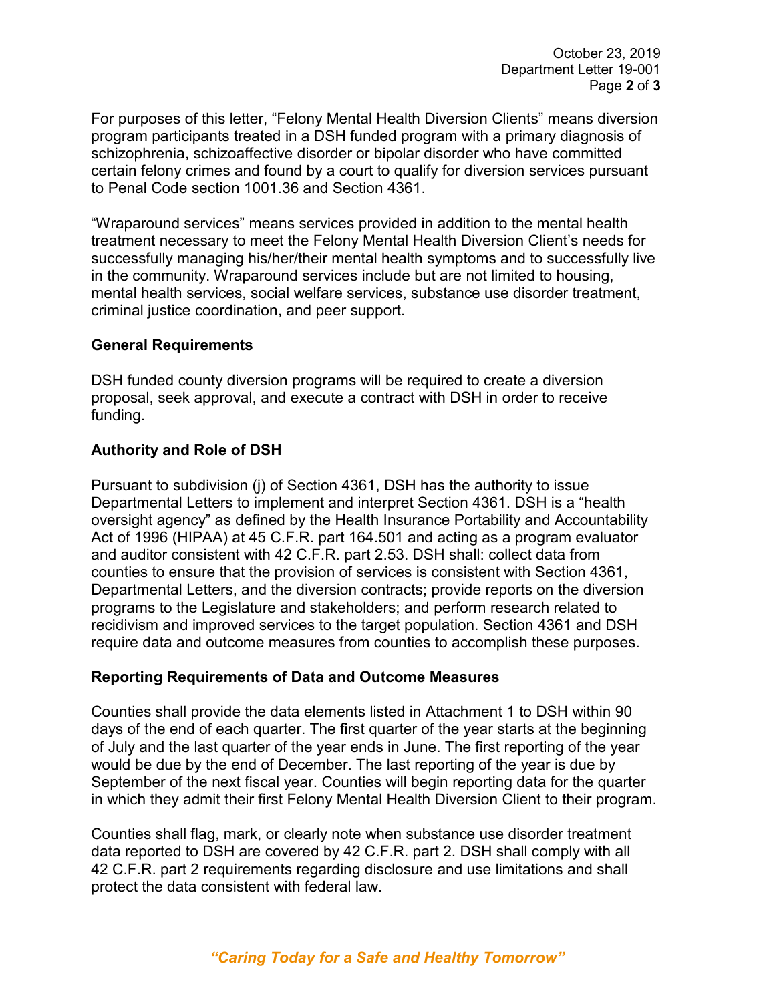For purposes of this letter, "Felony Mental Health Diversion Clients" means diversion program participants treated in a DSH funded program with a primary diagnosis of schizophrenia, schizoaffective disorder or bipolar disorder who have committed certain felony crimes and found by a court to qualify for diversion services pursuant to Penal Code section 1001.36 and Section 4361.

"Wraparound services" means services provided in addition to the mental health treatment necessary to meet the Felony Mental Health Diversion Client's needs for successfully managing his/her/their mental health symptoms and to successfully live in the community. Wraparound services include but are not limited to housing, mental health services, social welfare services, substance use disorder treatment, criminal justice coordination, and peer support.

## **General Requirements**

DSH funded county diversion programs will be required to create a diversion proposal, seek approval, and execute a contract with DSH in order to receive funding.

#### **Authority and Role of DSH**

Pursuant to subdivision (j) of Section 4361, DSH has the authority to issue Departmental Letters to implement and interpret Section 4361. DSH is a "health oversight agency" as defined by the Health Insurance Portability and Accountability Act of 1996 (HIPAA) at 45 C.F.R. part 164.501 and acting as a program evaluator and auditor consistent with 42 C.F.R. part 2.53. DSH shall: collect data from counties to ensure that the provision of services is consistent with Section 4361, Departmental Letters, and the diversion contracts; provide reports on the diversion programs to the Legislature and stakeholders; and perform research related to recidivism and improved services to the target population. Section 4361 and DSH require data and outcome measures from counties to accomplish these purposes.

## **Reporting Requirements of Data and Outcome Measures**

Counties shall provide the data elements listed in Attachment 1 to DSH within 90 days of the end of each quarter. The first quarter of the year starts at the beginning of July and the last quarter of the year ends in June. The first reporting of the year would be due by the end of December. The last reporting of the year is due by September of the next fiscal year. Counties will begin reporting data for the quarter in which they admit their first Felony Mental Health Diversion Client to their program.

Counties shall flag, mark, or clearly note when substance use disorder treatment data reported to DSH are covered by 42 C.F.R. part 2. DSH shall comply with all 42 C.F.R. part 2 requirements regarding disclosure and use limitations and shall protect the data consistent with federal law.